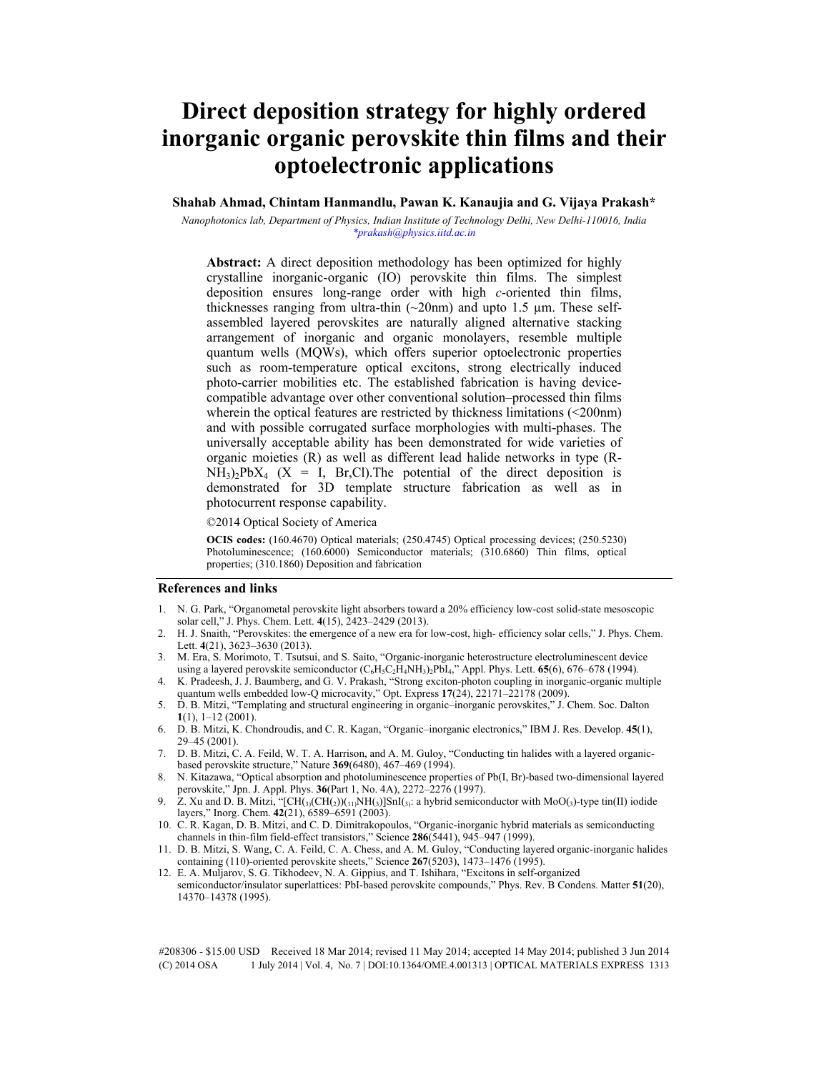# **Direct deposition strategy for highly ordered inorganic organic perovskite thin films and their optoelectronic applications**

**Shahab Ahmad, Chintam Hanmandlu, Pawan K. Kanaujia and G. Vijaya Prakash\*** 

*Nanophotonics lab, Department of Physics, Indian Institute of Technology Delhi, New Delhi-110016, India \*prakash@physics.iitd.ac.in* 

**Abstract:** A direct deposition methodology has been optimized for highly crystalline inorganic-organic (IO) perovskite thin films. The simplest deposition ensures long-range order with high *c*-oriented thin films, thicknesses ranging from ultra-thin  $(\sim 20$ nm) and upto 1.5 µm. These selfassembled layered perovskites are naturally aligned alternative stacking arrangement of inorganic and organic monolayers, resemble multiple quantum wells (MQWs), which offers superior optoelectronic properties such as room-temperature optical excitons, strong electrically induced photo-carrier mobilities etc. The established fabrication is having devicecompatible advantage over other conventional solution–processed thin films wherein the optical features are restricted by thickness limitations (<200nm) and with possible corrugated surface morphologies with multi-phases. The universally acceptable ability has been demonstrated for wide varieties of organic moieties (R) as well as different lead halide networks in type (R- $NH<sub>3</sub>)<sub>2</sub>PbX<sub>4</sub>$  (X = I, Br, Cl). The potential of the direct deposition is demonstrated for 3D template structure fabrication as well as in photocurrent response capability.

©2014 Optical Society of America

**OCIS codes:** (160.4670) Optical materials; (250.4745) Optical processing devices; (250.5230) Photoluminescence; (160.6000) Semiconductor materials; (310.6860) Thin films, optical properties; (310.1860) Deposition and fabrication

#### **References and links**

- 1. N. G. Park, "Organometal perovskite light absorbers toward a 20% efficiency low-cost solid-state mesoscopic solar cell," J. Phys. Chem. Lett. **4**(15), 2423–2429 (2013).
- 2. H. J. Snaith, "Perovskites: the emergence of a new era for low-cost, high- efficiency solar cells," J. Phys. Chem. Lett. **4**(21), 3623–3630 (2013).
- 3. M. Era, S. Morimoto, T. Tsutsui, and S. Saito, "Organic-inorganic heterostructure electroluminescent device using a layered perovskite semiconductor  $(C_6H_5C_2H_4NH_3)_2PbI_4$ ," Appl. Phys. Lett. **65**(6), 676–678 (1994).
- 4. K. Pradeesh, J. J. Baumberg, and G. V. Prakash, "Strong exciton-photon coupling in inorganic-organic multiple quantum wells embedded low-Q microcavity," Opt. Express **17**(24), 22171–22178 (2009).
- 5. D. B. Mitzi, "Templating and structural engineering in organic–inorganic perovskites," J. Chem. Soc. Dalton **1**(1), 1–12 (2001).
- 6. D. B. Mitzi, K. Chondroudis, and C. R. Kagan, "Organic–inorganic electronics," IBM J. Res. Develop. **45**(1), 29–45 (2001).
- 7. D. B. Mitzi, C. A. Feild, W. T. A. Harrison, and A. M. Guloy, "Conducting tin halides with a layered organicbased perovskite structure," Nature **369**(6480), 467–469 (1994).
- 8. N. Kitazawa, "Optical absorption and photoluminescence properties of Pb(I, Br)-based two-dimensional layered perovskite," Jpn. J. Appl. Phys. **36**(Part 1, No. 4A), 2272–2276 (1997).
- 9. Z. Xu and D. B. Mitzi, " $[CH_{(3)}CH_{(2)}](11)NH_{(3)}]SnI_{(3)}$ : a hybrid semiconductor with MoO(3)-type tin(II) iodide layers," Inorg. Chem. **42**(21), 6589–6591 (2003).
- 10. C. R. Kagan, D. B. Mitzi, and C. D. Dimitrakopoulos, "Organic-inorganic hybrid materials as semiconducting channels in thin-film field-effect transistors," Science **286**(5441), 945–947 (1999).
- 11. D. B. Mitzi, S. Wang, C. A. Feild, C. A. Chess, and A. M. Guloy, "Conducting layered organic-inorganic halides containing (110)-oriented perovskite sheets," Science **267**(5203), 1473–1476 (1995).
- 12. E. A. Muljarov, S. G. Tikhodeev, N. A. Gippius, and T. Ishihara, "Excitons in self-organized semiconductor/insulator superlattices: PbI-based perovskite compounds," Phys. Rev. B Condens. Matter **51**(20), 14370–14378 (1995).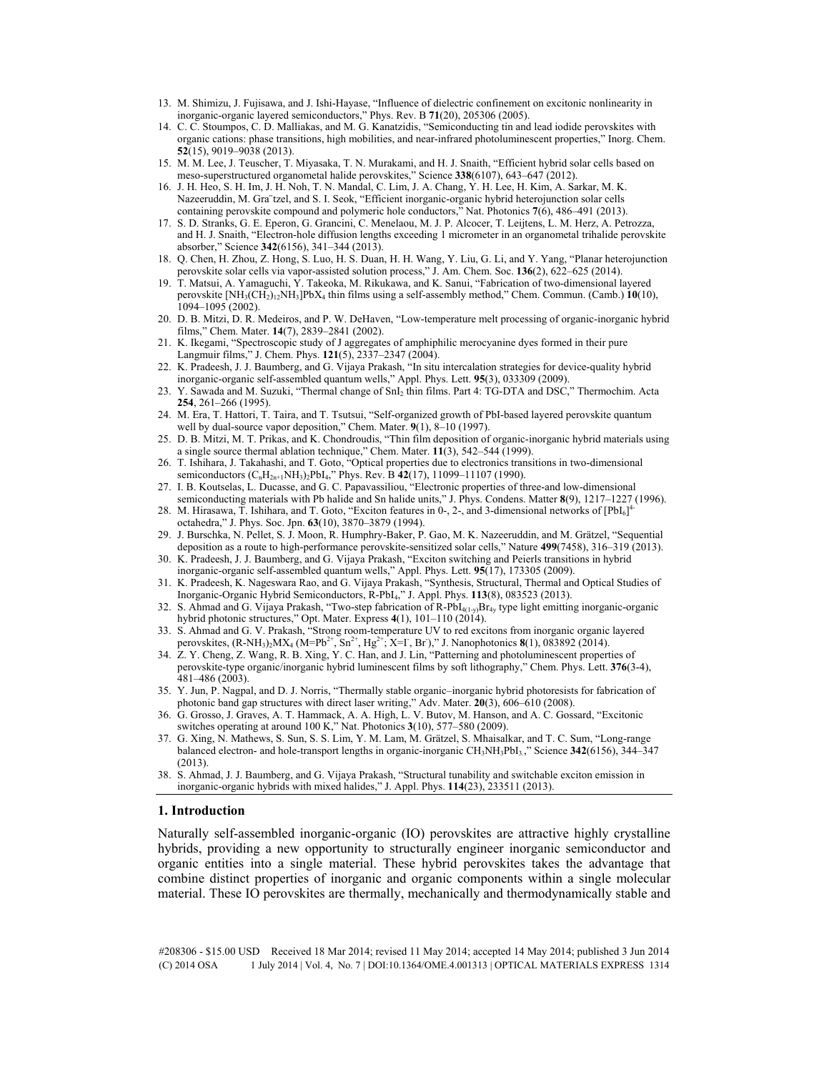- 13. M. Shimizu, J. Fujisawa, and J. Ishi-Hayase, "Influence of dielectric confinement on excitonic nonlinearity in inorganic-organic layered semiconductors," Phys. Rev. B **71**(20), 205306 (2005).
- 14. C. C. Stoumpos, C. D. Malliakas, and M. G. Kanatzidis, "Semiconducting tin and lead iodide perovskites with organic cations: phase transitions, high mobilities, and near-infrared photoluminescent properties," Inorg. Chem. **52**(15), 9019–9038 (2013).
- 15. M. M. Lee, J. Teuscher, T. Miyasaka, T. N. Murakami, and H. J. Snaith, "Efficient hybrid solar cells based on meso-superstructured organometal halide perovskites," Science **338**(6107), 643–647 (2012).
- 16. J. H. Heo, S. H. Im, J. H. Noh, T. N. Mandal, C. Lim, J. A. Chang, Y. H. Lee, H. Kim, A. Sarkar, M. K. Nazeeruddin, M. Gra¨tzel, and S. I. Seok, "Efficient inorganic-organic hybrid heterojunction solar cells containing perovskite compound and polymeric hole conductors," Nat. Photonics **7**(6), 486–491 (2013).
- 17. S. D. Stranks, G. E. Eperon, G. Grancini, C. Menelaou, M. J. P. Alcocer, T. Leijtens, L. M. Herz, A. Petrozza, and H. J. Snaith, "Electron-hole diffusion lengths exceeding 1 micrometer in an organometal trihalide perovskite absorber," Science **342**(6156), 341–344 (2013).
- 18. Q. Chen, H. Zhou, Z. Hong, S. Luo, H. S. Duan, H. H. Wang, Y. Liu, G. Li, and Y. Yang, "Planar heterojunction perovskite solar cells via vapor-assisted solution process," J. Am. Chem. Soc. **136**(2), 622–625 (2014).
- 19. T. Matsui, A. Yamaguchi, Y. Takeoka, M. Rikukawa, and K. Sanui, "Fabrication of two-dimensional layered perovskite [NH3(CH2)12NH3]PbX4 thin films using a self-assembly method," Chem. Commun. (Camb.) **10**(10), 1094–1095 (2002).
- 20. D. B. Mitzi, D. R. Medeiros, and P. W. DeHaven, "Low-temperature melt processing of organic-inorganic hybrid films," Chem. Mater. **14**(7), 2839–2841 (2002).
- 21. K. Ikegami, "Spectroscopic study of J aggregates of amphiphilic merocyanine dyes formed in their pure Langmuir films," J. Chem. Phys. **121**(5), 2337–2347 (2004).
- 22. K. Pradeesh, J. J. Baumberg, and G. Vijaya Prakash, "In situ intercalation strategies for device-quality hybrid inorganic-organic self-assembled quantum wells," Appl. Phys. Lett. **95**(3), 033309 (2009).
- 23. Y. Sawada and M. Suzuki, "Thermal change of SnI<sub>2</sub> thin films. Part 4: TG-DTA and DSC," Thermochim. Acta **254**, 261–266 (1995).
- 24. M. Era, T. Hattori, T. Taira, and T. Tsutsui, "Self-organized growth of PbI-based layered perovskite quantum well by dual-source vapor deposition," Chem. Mater. **9**(1), 8–10 (1997).
- 25. D. B. Mitzi, M. T. Prikas, and K. Chondroudis, "Thin film deposition of organic-inorganic hybrid materials using a single source thermal ablation technique," Chem. Mater. **11**(3), 542–544 (1999).
- 26. T. Ishihara, J. Takahashi, and T. Goto, "Optical properties due to electronics transitions in two-dimensional semiconductors (CnH2n+1NH3)2PbI4," Phys. Rev. B **42**(17), 11099–11107 (1990).
- 27. I. B. Koutselas, L. Ducasse, and G. C. Papavassiliou, "Electronic properties of three-and low-dimensional semiconducting materials with Pb halide and Sn halide units," J. Phys. Condens. Matter **8**(9), 1217–1227 (1996).
- 28. M. Hirasawa, T. Ishihara, and T. Goto, "Exciton features in 0-, 2-, and 3-dimensional networks of  $[PbI_6]^4$ octahedra," J. Phys. Soc. Jpn. **63**(10), 3870–3879 (1994).
- 29. J. Burschka, N. Pellet, S. J. Moon, R. Humphry-Baker, P. Gao, M. K. Nazeeruddin, and M. Grätzel, "Sequential deposition as a route to high-performance perovskite-sensitized solar cells," Nature **499**(7458), 316–319 (2013).
- 30. K. Pradeesh, J. J. Baumberg, and G. Vijaya Prakash, "Exciton switching and Peierls transitions in hybrid inorganic-organic self-assembled quantum wells," Appl. Phys. Lett. **95**(17), 173305 (2009).
- 31. K. Pradeesh, K. Nageswara Rao, and G. Vijaya Prakash, "Synthesis, Structural, Thermal and Optical Studies of Inorganic-Organic Hybrid Semiconductors, R-PbI4," J. Appl. Phys. **113**(8), 083523 (2013).
- 32. S. Ahmad and G. Vijaya Prakash, "Two-step fabrication of  $R-PbI_{4(1-v)}Br_{4y}$  type light emitting inorganic-organic hybrid photonic structures," Opt. Mater. Express **4**(1), 101–110 (2014).
- 33. S. Ahmad and G. V. Prakash, "Strong room-temperature UV to red excitons from inorganic organic layered perovskites, (R-NH<sub>3</sub>)<sub>2</sub>MX<sub>4</sub> (M=Pb<sup>2+</sup>, Sn<sup>2+</sup>, Hg<sup>2+</sup>; X=I<sup>-</sup>, Br)," J. Nanophotonics **8**(1), 083892 (2014).
- 34. Z. Y. Cheng, Z. Wang, R. B. Xing, Y. C. Han, and J. Lin, "Patterning and photoluminescent properties of perovskite-type organic/inorganic hybrid luminescent films by soft lithography," Chem. Phys. Lett. **376**(3-4), 481–486 (2003).
- 35. Y. Jun, P. Nagpal, and D. J. Norris, "Thermally stable organic–inorganic hybrid photoresists for fabrication of photonic band gap structures with direct laser writing," Adv. Mater. **20**(3), 606–610 (2008).
- 36. G. Grosso, J. Graves, A. T. Hammack, A. A. High, L. V. Butov, M. Hanson, and A. C. Gossard, "Excitonic switches operating at around 100 K," Nat. Photonics **3**(10), 577–580 (2009).
- 37. G. Xing, N. Mathews, S. Sun, S. S. Lim, Y. M. Lam, M. Grätzel, S. Mhaisalkar, and T. C. Sum, "Long-range balanced electron- and hole-transport lengths in organic-inorganic CH3NH3PbI3.," Science **342**(6156), 344–347 (2013).
- 38. S. Ahmad, J. J. Baumberg, and G. Vijaya Prakash, "Structural tunability and switchable exciton emission in inorganic-organic hybrids with mixed halides," J. Appl. Phys. **114**(23), 233511 (2013).

#### **1. Introduction**

Naturally self-assembled inorganic-organic (IO) perovskites are attractive highly crystalline hybrids, providing a new opportunity to structurally engineer inorganic semiconductor and organic entities into a single material. These hybrid perovskites takes the advantage that combine distinct properties of inorganic and organic components within a single molecular material. These IO perovskites are thermally, mechanically and thermodynamically stable and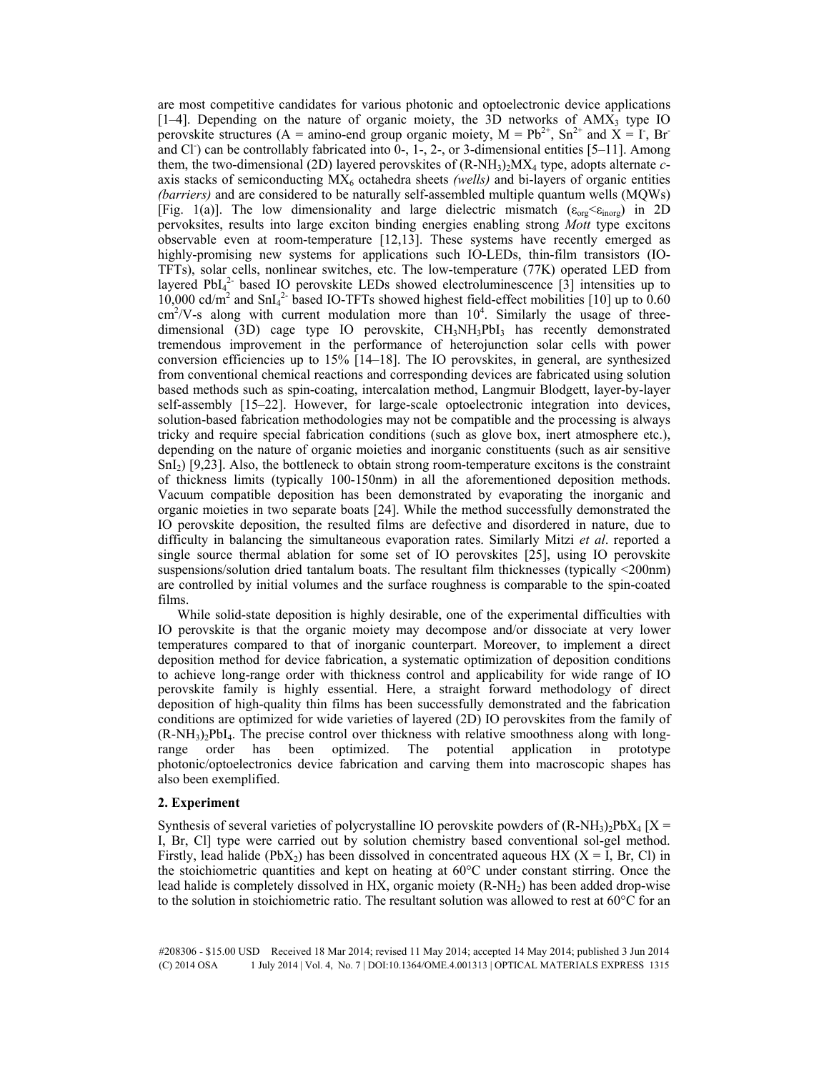are most competitive candidates for various photonic and optoelectronic device applications  $[1–4]$ . Depending on the nature of organic moiety, the 3D networks of AMX<sub>3</sub> type IO perovskite structures (A = amino-end group organic moiety,  $M = Pb^{2+}$ ,  $Sn^{2+}$  and  $X = I$ , Br and CI ) can be controllably fabricated into  $0$ -,  $1$ -,  $2$ -, or 3-dimensional entities [5–11]. Among them, the two-dimensional (2D) layered perovskites of (R-NH3)2MX4 type, adopts alternate *c*axis stacks of semiconducting MX6 octahedra sheets *(wells)* and bi-layers of organic entities *(barriers)* and are considered to be naturally self-assembled multiple quantum wells (MQWs) [Fig. 1(a)]. The low dimensionality and large dielectric mismatch ( $\varepsilon_{\text{org}} \le \varepsilon_{\text{inorg}}$ ) in 2D pervoksites, results into large exciton binding energies enabling strong *Mott* type excitons observable even at room-temperature [12,13]. These systems have recently emerged as highly-promising new systems for applications such IO-LEDs, thin-film transistors (IO-TFTs), solar cells, nonlinear switches, etc. The low-temperature (77K) operated LED from layered  $PbI<sub>4</sub><sup>2</sup>$  based IO perovskite LEDs showed electroluminescence [3] intensities up to 10,000 cd/m<sup>2</sup> and SnI<sub>4</sub><sup>2</sup> based IO-TFTs showed highest field-effect mobilities [10] up to  $0.60$  $\text{cm}^2$ /V-s along with current modulation more than  $10^4$ . Similarly the usage of threedimensional (3D) cage type IO perovskite, CH3NH3PbI3 has recently demonstrated tremendous improvement in the performance of heterojunction solar cells with power conversion efficiencies up to 15% [14–18]. The IO perovskites, in general, are synthesized from conventional chemical reactions and corresponding devices are fabricated using solution based methods such as spin-coating, intercalation method, Langmuir Blodgett, layer-by-layer self-assembly [15–22]. However, for large-scale optoelectronic integration into devices, solution-based fabrication methodologies may not be compatible and the processing is always tricky and require special fabrication conditions (such as glove box, inert atmosphere etc.), depending on the nature of organic moieties and inorganic constituents (such as air sensitive  $\text{SnI}_2$ ) [9,23]. Also, the bottleneck to obtain strong room-temperature excitons is the constraint of thickness limits (typically 100-150nm) in all the aforementioned deposition methods. Vacuum compatible deposition has been demonstrated by evaporating the inorganic and organic moieties in two separate boats [24]. While the method successfully demonstrated the IO perovskite deposition, the resulted films are defective and disordered in nature, due to difficulty in balancing the simultaneous evaporation rates. Similarly Mitzi *et al*. reported a single source thermal ablation for some set of IO perovskites [25], using IO perovskite suspensions/solution dried tantalum boats. The resultant film thicknesses (typically <200nm) are controlled by initial volumes and the surface roughness is comparable to the spin-coated films.

While solid-state deposition is highly desirable, one of the experimental difficulties with IO perovskite is that the organic moiety may decompose and/or dissociate at very lower temperatures compared to that of inorganic counterpart. Moreover, to implement a direct deposition method for device fabrication, a systematic optimization of deposition conditions to achieve long-range order with thickness control and applicability for wide range of IO perovskite family is highly essential. Here, a straight forward methodology of direct deposition of high-quality thin films has been successfully demonstrated and the fabrication conditions are optimized for wide varieties of layered (2D) IO perovskites from the family of  $(R-NH<sub>3</sub>)<sub>2</sub>PbI<sub>4</sub>$ . The precise control over thickness with relative smoothness along with longrange order has been optimized. The potential application in prototype photonic/optoelectronics device fabrication and carving them into macroscopic shapes has also been exemplified.

### **2. Experiment**

Synthesis of several varieties of polycrystalline IO perovskite powders of  $(R-NH<sub>3</sub>)<sub>2</sub>PbX<sub>4</sub>$  [X = I, Br, Cl] type were carried out by solution chemistry based conventional sol-gel method. Firstly, lead halide (PbX<sub>2</sub>) has been dissolved in concentrated aqueous HX (X = I, Br, Cl) in the stoichiometric quantities and kept on heating at 60°C under constant stirring. Once the lead halide is completely dissolved in HX, organic moiety (R-NH2) has been added drop-wise to the solution in stoichiometric ratio. The resultant solution was allowed to rest at  $60^{\circ}$ C for an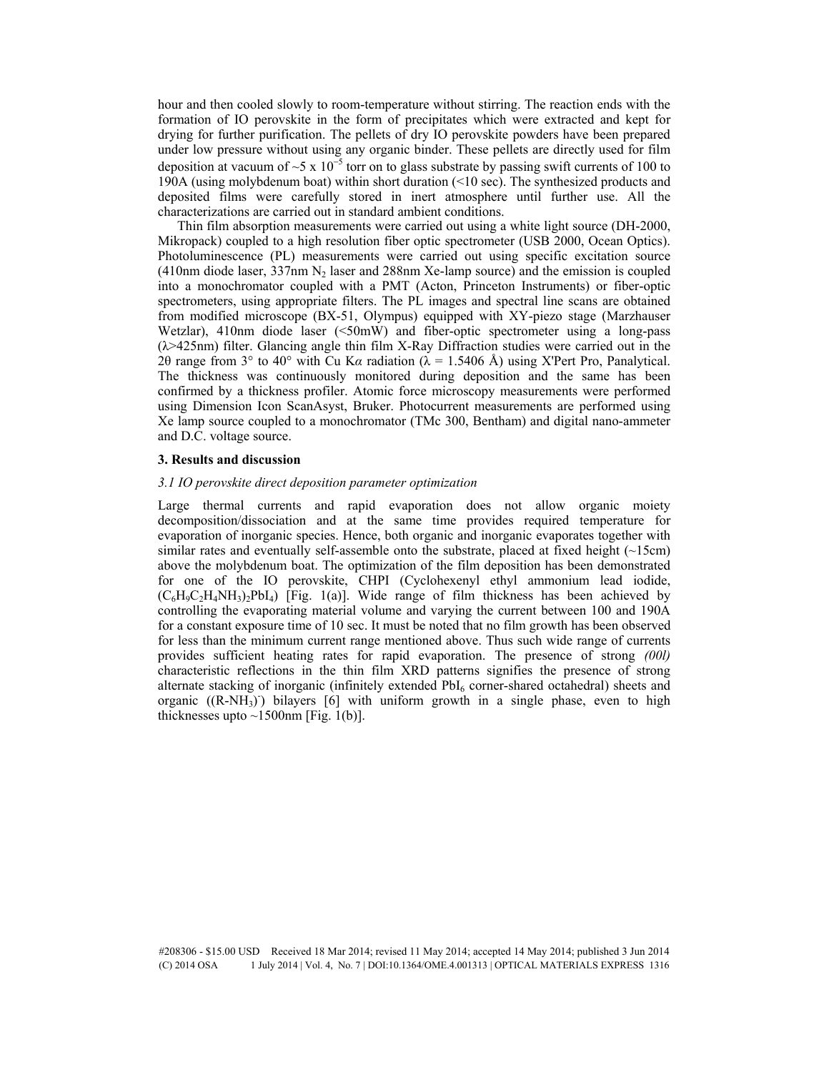hour and then cooled slowly to room-temperature without stirring. The reaction ends with the formation of IO perovskite in the form of precipitates which were extracted and kept for drying for further purification. The pellets of dry IO perovskite powders have been prepared under low pressure without using any organic binder. These pellets are directly used for film deposition at vacuum of  $\sim$ 5 x 10<sup>-5</sup> torr on to glass substrate by passing swift currents of 100 to 190A (using molybdenum boat) within short duration (<10 sec). The synthesized products and deposited films were carefully stored in inert atmosphere until further use. All the characterizations are carried out in standard ambient conditions.

Thin film absorption measurements were carried out using a white light source (DH-2000, Mikropack) coupled to a high resolution fiber optic spectrometer (USB 2000, Ocean Optics). Photoluminescence (PL) measurements were carried out using specific excitation source  $(410 \text{nm}$  diode laser,  $337 \text{nm}$  N<sub>2</sub> laser and 288nm Xe-lamp source) and the emission is coupled into a monochromator coupled with a PMT (Acton, Princeton Instruments) or fiber-optic spectrometers, using appropriate filters. The PL images and spectral line scans are obtained from modified microscope (BX-51, Olympus) equipped with XY-piezo stage (Marzhauser Wetzlar), 410nm diode laser (<50mW) and fiber-optic spectrometer using a long-pass  $(\lambda > 425$ nm) filter. Glancing angle thin film X-Ray Diffraction studies were carried out in the 2θ range from 3<sup>°</sup> to 40<sup>°</sup> with Cu K<sub>α</sub> radiation ( $\lambda = 1.5406$  Å) using X'Pert Pro, Panalytical. The thickness was continuously monitored during deposition and the same has been confirmed by a thickness profiler. Atomic force microscopy measurements were performed using Dimension Icon ScanAsyst, Bruker. Photocurrent measurements are performed using Xe lamp source coupled to a monochromator (TMc 300, Bentham) and digital nano-ammeter and D.C. voltage source.

#### **3. Results and discussion**

## *3.1 IO perovskite direct deposition parameter optimization*

Large thermal currents and rapid evaporation does not allow organic moiety decomposition/dissociation and at the same time provides required temperature for evaporation of inorganic species. Hence, both organic and inorganic evaporates together with similar rates and eventually self-assemble onto the substrate, placed at fixed height  $(\sim 15 \text{cm})$ above the molybdenum boat. The optimization of the film deposition has been demonstrated for one of the IO perovskite, CHPI (Cyclohexenyl ethyl ammonium lead iodide,  $(C_6H_9C_2H_4NH_3)_2PbI_4$ ) [Fig. 1(a)]. Wide range of film thickness has been achieved by controlling the evaporating material volume and varying the current between 100 and 190A for a constant exposure time of 10 sec. It must be noted that no film growth has been observed for less than the minimum current range mentioned above. Thus such wide range of currents provides sufficient heating rates for rapid evaporation. The presence of strong *(00l)* characteristic reflections in the thin film XRD patterns signifies the presence of strong alternate stacking of inorganic (infinitely extended PbI<sub>6</sub> corner-shared octahedral) sheets and organic ((R-NH<sub>3</sub>)<sup>-</sup>) bilayers [6] with uniform growth in a single phase, even to high thicknesses upto  $\sim$ 1500nm [Fig. 1(b)].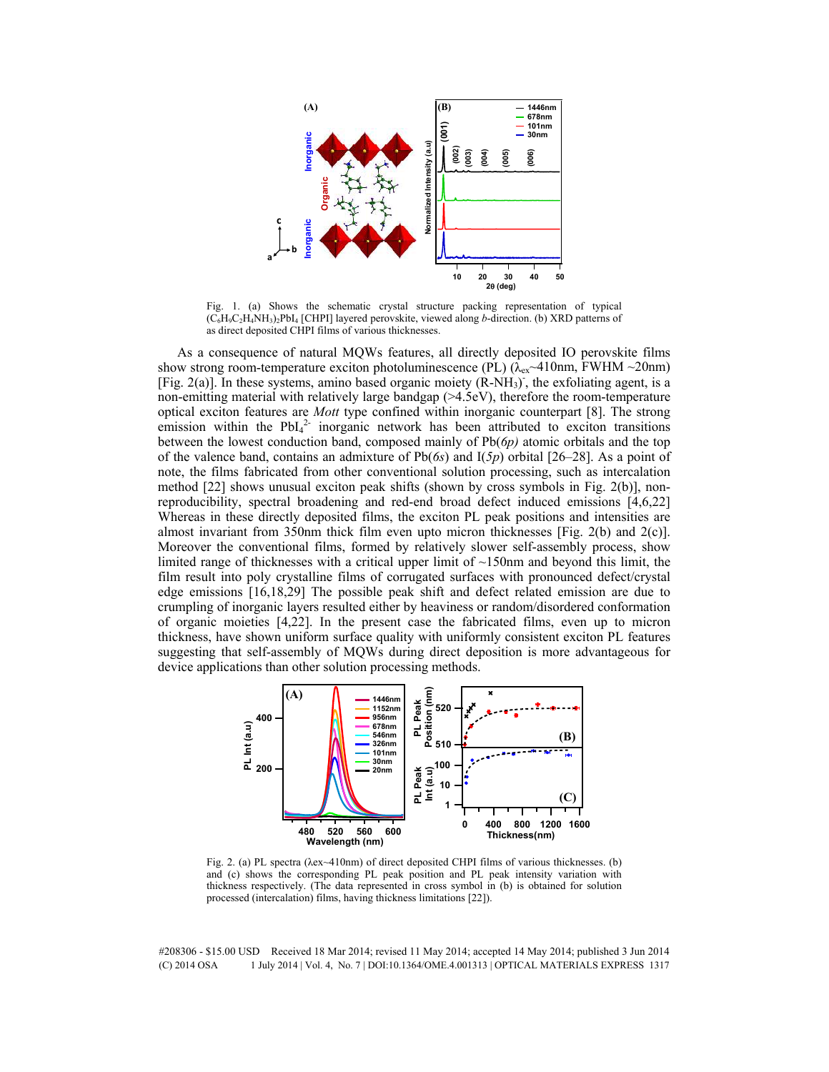

Fig. 1. (a) Shows the schematic crystal structure packing representation of typical (C6H9C2H4NH3)2PbI4 [CHPI] layered perovskite, viewed along *b*-direction. (b) XRD patterns of as direct deposited CHPI films of various thicknesses.

As a consequence of natural MQWs features, all directly deposited IO perovskite films show strong room-temperature exciton photoluminescence (PL) ( $\lambda_{ex}$  -410nm, FWHM ~20nm) [Fig. 2(a)]. In these systems, amino based organic moiety  $(R-NH_3)$ , the exfoliating agent, is a non-emitting material with relatively large bandgap (>4.5eV), therefore the room-temperature optical exciton features are *Mott* type confined within inorganic counterpart [8]. The strong emission within the  $PbI<sub>4</sub><sup>2</sup>$  inorganic network has been attributed to exciton transitions between the lowest conduction band, composed mainly of Pb(*6p)* atomic orbitals and the top of the valence band, contains an admixture of Pb(*6s*) and I(*5p*) orbital [26–28]. As a point of note, the films fabricated from other conventional solution processing, such as intercalation method [22] shows unusual exciton peak shifts (shown by cross symbols in Fig. 2(b)], nonreproducibility, spectral broadening and red-end broad defect induced emissions [4,6,22] Whereas in these directly deposited films, the exciton PL peak positions and intensities are almost invariant from 350nm thick film even upto micron thicknesses [Fig. 2(b) and 2(c)]. Moreover the conventional films, formed by relatively slower self-assembly process, show limited range of thicknesses with a critical upper limit of  $\sim$ 150nm and beyond this limit, the film result into poly crystalline films of corrugated surfaces with pronounced defect/crystal edge emissions [16,18,29] The possible peak shift and defect related emission are due to crumpling of inorganic layers resulted either by heaviness or random/disordered conformation of organic moieties [4,22]. In the present case the fabricated films, even up to micron thickness, have shown uniform surface quality with uniformly consistent exciton PL features suggesting that self-assembly of MQWs during direct deposition is more advantageous for device applications than other solution processing methods.



Fig. 2. (a) PL spectra (λex~410nm) of direct deposited CHPI films of various thicknesses. (b) and (c) shows the corresponding PL peak position and PL peak intensity variation with thickness respectively. (The data represented in cross symbol in (b) is obtained for solution processed (intercalation) films, having thickness limitations [22]).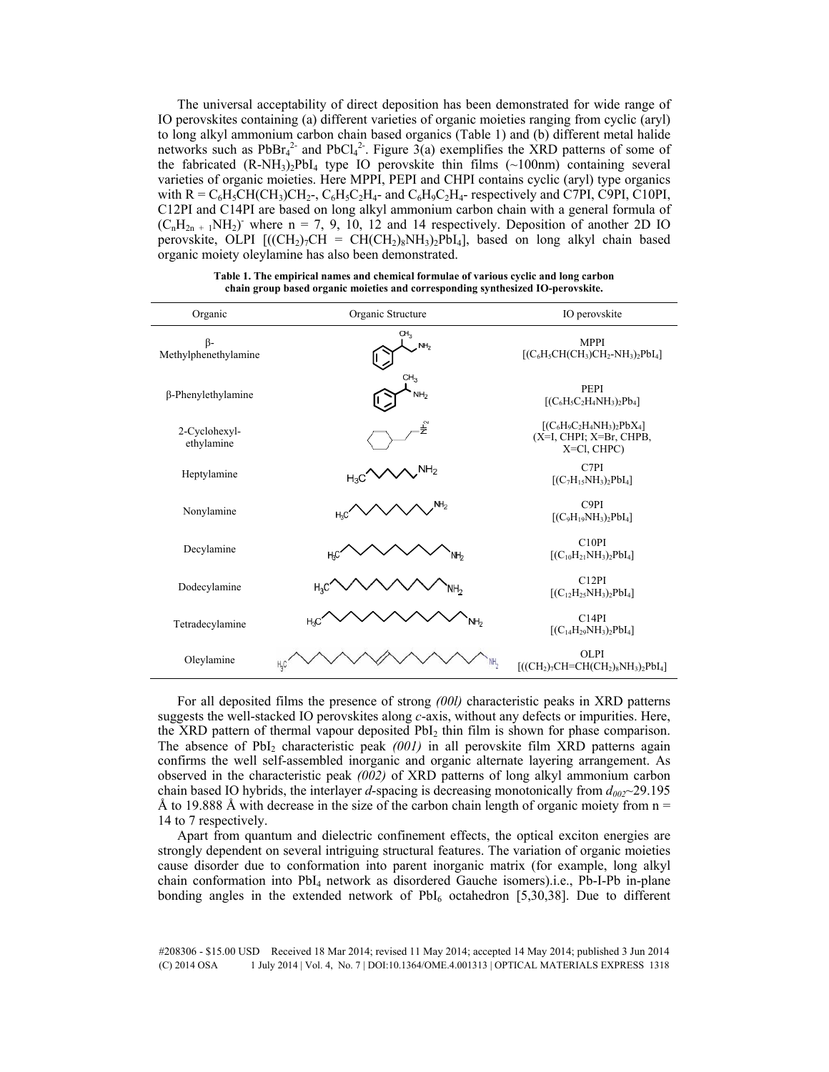The universal acceptability of direct deposition has been demonstrated for wide range of IO perovskites containing (a) different varieties of organic moieties ranging from cyclic (aryl) to long alkyl ammonium carbon chain based organics (Table 1) and (b) different metal halide networks such as  $PbBr_4^2$  and  $PbCl_4^2$ . Figure 3(a) exemplifies the XRD patterns of some of the fabricated  $(R-NH<sub>3</sub>)<sub>2</sub>PbI<sub>4</sub>$  type IO perovskite thin films  $(\sim 100$ nm) containing several varieties of organic moieties. Here MPPI, PEPI and CHPI contains cyclic (aryl) type organics with  $R = C_6H_3CH(CH_3)CH_2$ ,  $C_6H_5C_2H_4$ - and  $C_6H_9C_2H_4$ - respectively and C7PI, C9PI, C10PI, C12PI and C14PI are based on long alkyl ammonium carbon chain with a general formula of  $(C_nH_{2n+1}NH_2)$  where n = 7, 9, 10, 12 and 14 respectively. Deposition of another 2D IO perovskite, OLPI  $[(CH_2)_7CH = CH(CH_2)_8NH_3)_2PbI_4]$ , based on long alkyl chain based organic moiety oleylamine has also been demonstrated.

| Organic                           | Organic Structure                  | IO perovskite                                                            |
|-----------------------------------|------------------------------------|--------------------------------------------------------------------------|
| $\beta$ -<br>Methylphenethylamine | CH <sub>3</sub><br>NH <sub>2</sub> | <b>MPPI</b><br>$[(C_6H_5CH(CH_3)CH_2-NH_3)_2PbI_4]$                      |
| β-Phenylethylamine                | CH <sub>3</sub><br>NH <sub>2</sub> | PEPI<br>$[(C_6H_5C_2H_4NH_3)_2Pb_4]$                                     |
| 2-Cyclohexyl-<br>ethylamine       | î,                                 | $[(C_6H_9C_2H_4NH_3)_2PbX_4]$<br>(X=I, CHPI; X=Br, CHPB,<br>$X=Cl, CHPC$ |
| Heptylamine                       | NH <sub>2</sub><br>$H_3C$          | C7PI<br>$[(C_7H_{15}NH_3)_2PbI_4]$                                       |
| Nonylamine                        | NH <sub>2</sub><br>$H_3C$          | C9PI<br>$[(C_9H_{19}NH_3)_2PbI_4]$                                       |
| Decylamine                        | H3C<br>NH <sub>2</sub>             | C <sub>10PI</sub><br>$[(C_{10}H_{21}NH_3)_2PbI_4]$                       |
| Dodecylamine                      | $H_2C$                             | C12PI<br>$[(C_{12}H_{25}NH_3)_2PbI_4]$                                   |
| Tetradecylamine                   | $H_3C$<br>NH <sub>2</sub>          | C14PI<br>$[(C_{14}H_{29}NH_3)_2PbI_4]$                                   |
| Oleylamine                        |                                    | OLPI<br>$[((CH2)7CH=CH(CH2)8NH3)2PbI4]$                                  |

| Table 1. The empirical names and chemical formulae of various cyclic and long carbon |
|--------------------------------------------------------------------------------------|
| chain group based organic moieties and corresponding synthesized IO-perovskite.      |

For all deposited films the presence of strong *(00l)* characteristic peaks in XRD patterns suggests the well-stacked IO perovskites along *c*-axis, without any defects or impurities. Here, the XRD pattern of thermal vapour deposited  $PbI_2$  thin film is shown for phase comparison. The absence of PbI<sub>2</sub> characteristic peak (001) in all perovskite film XRD patterns again confirms the well self-assembled inorganic and organic alternate layering arrangement. As observed in the characteristic peak *(002)* of XRD patterns of long alkyl ammonium carbon chain based IO hybrids, the interlayer *d*-spacing is decreasing monotonically from *d002*~29.195 Å to 19.888 Å with decrease in the size of the carbon chain length of organic moiety from  $n =$ 14 to 7 respectively.

Apart from quantum and dielectric confinement effects, the optical exciton energies are strongly dependent on several intriguing structural features. The variation of organic moieties cause disorder due to conformation into parent inorganic matrix (for example, long alkyl chain conformation into PbI4 network as disordered Gauche isomers).i.e., Pb-I-Pb in-plane bonding angles in the extended network of  $PbI_6$  octahedron [5,30,38]. Due to different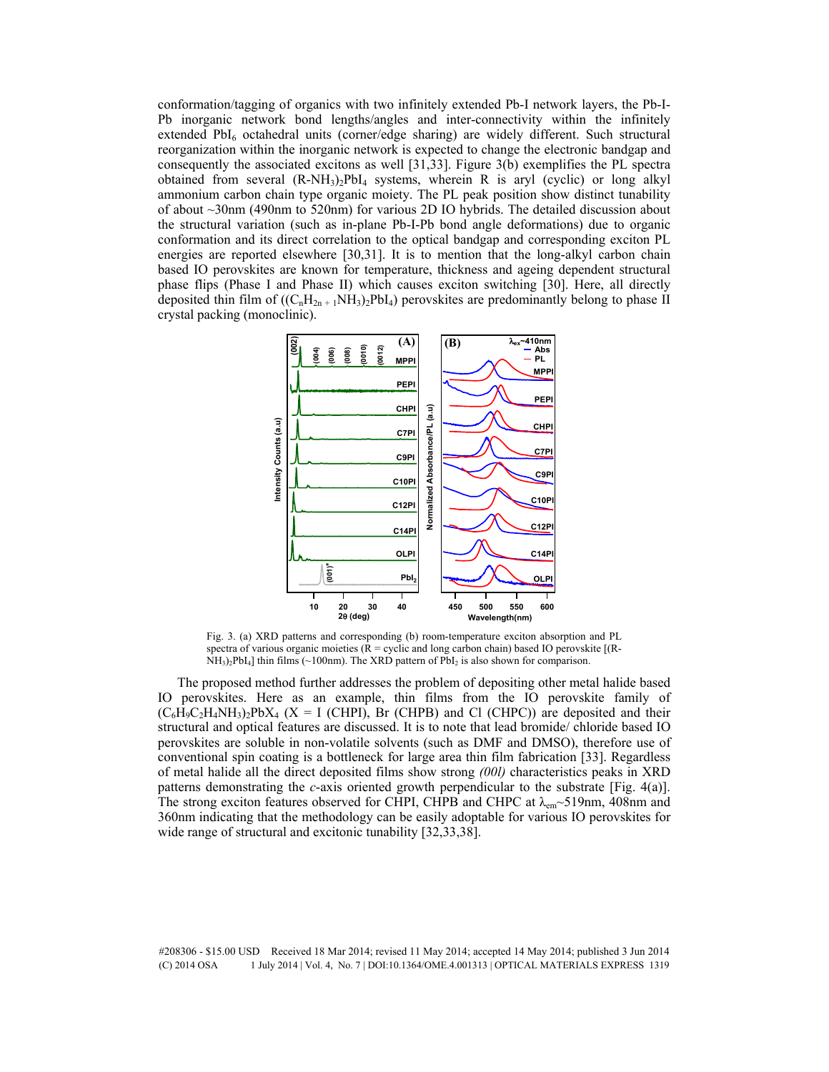conformation/tagging of organics with two infinitely extended Pb-I network layers, the Pb-I-Pb inorganic network bond lengths/angles and inter-connectivity within the infinitely extended PbI<sub>6</sub> octahedral units (corner/edge sharing) are widely different. Such structural reorganization within the inorganic network is expected to change the electronic bandgap and consequently the associated excitons as well [31,33]. Figure 3(b) exemplifies the PL spectra obtained from several  $(R-NH<sub>3</sub>)<sub>2</sub>PbI<sub>4</sub>$  systems, wherein R is aryl (cyclic) or long alkyl ammonium carbon chain type organic moiety. The PL peak position show distinct tunability of about ~30nm (490nm to 520nm) for various 2D IO hybrids. The detailed discussion about the structural variation (such as in-plane Pb-I-Pb bond angle deformations) due to organic conformation and its direct correlation to the optical bandgap and corresponding exciton PL energies are reported elsewhere [30,31]. It is to mention that the long-alkyl carbon chain based IO perovskites are known for temperature, thickness and ageing dependent structural phase flips (Phase I and Phase II) which causes exciton switching [30]. Here, all directly deposited thin film of  $((C_nH_{2n+1}NH_3)_2PbI_4)$  perovskites are predominantly belong to phase II crystal packing (monoclinic).



Fig. 3. (a) XRD patterns and corresponding (b) room-temperature exciton absorption and PL spectra of various organic moieties ( $\overline{R}$  = cyclic and long carbon chain) based IO perovskite [( $R$ - $NH<sub>3</sub>$ <sub>2</sub>PbI<sub>4</sub>] thin films (~100nm). The XRD pattern of PbI<sub>2</sub> is also shown for comparison.

The proposed method further addresses the problem of depositing other metal halide based IO perovskites. Here as an example, thin films from the IO perovskite family of  $(C_6H_9C_2H_4NH_3)_2PbX_4$  (X = I (CHPI), Br (CHPB) and Cl (CHPC)) are deposited and their structural and optical features are discussed. It is to note that lead bromide/ chloride based IO perovskites are soluble in non-volatile solvents (such as DMF and DMSO), therefore use of conventional spin coating is a bottleneck for large area thin film fabrication [33]. Regardless of metal halide all the direct deposited films show strong *(00l)* characteristics peaks in XRD patterns demonstrating the *c*-axis oriented growth perpendicular to the substrate [Fig. 4(a)]. The strong exciton features observed for CHPI, CHPB and CHPC at  $\lambda_{em}$  -519nm, 408nm and 360nm indicating that the methodology can be easily adoptable for various IO perovskites for wide range of structural and excitonic tunability [32,33,38].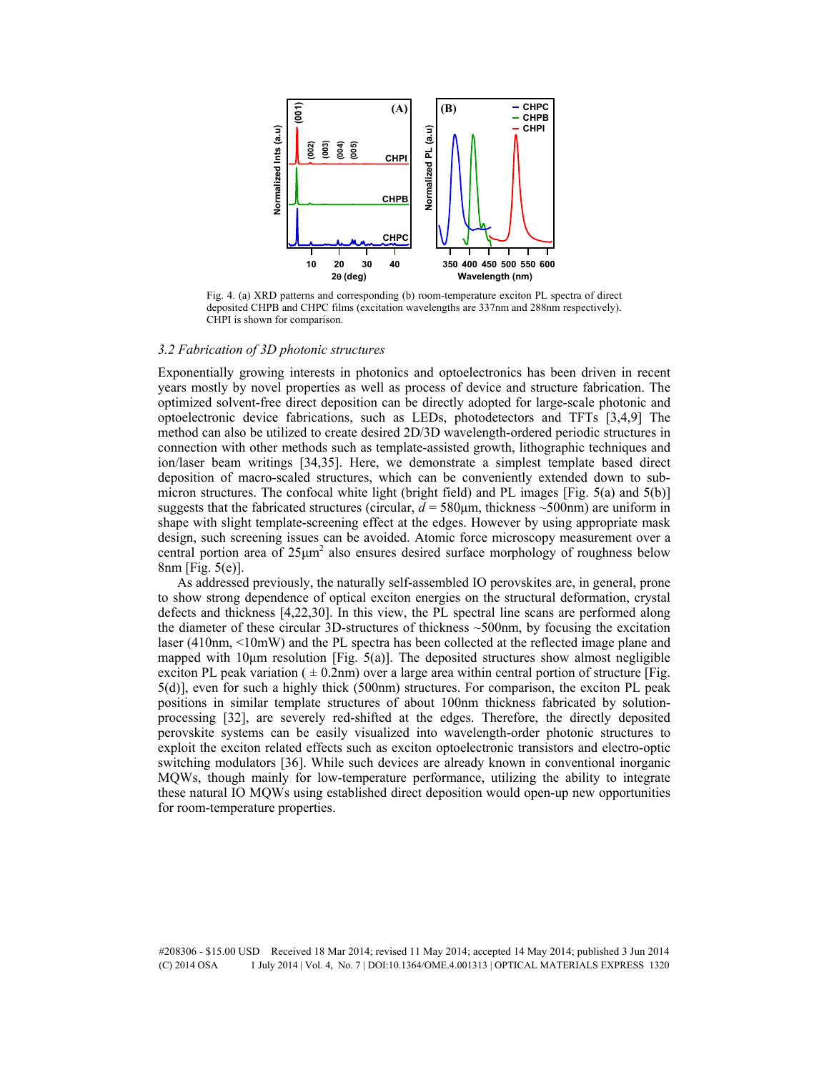

Fig. 4. (a) XRD patterns and corresponding (b) room-temperature exciton PL spectra of direct deposited CHPB and CHPC films (excitation wavelengths are 337nm and 288nm respectively). CHPI is shown for comparison.

#### *3.2 Fabrication of 3D photonic structures*

Exponentially growing interests in photonics and optoelectronics has been driven in recent years mostly by novel properties as well as process of device and structure fabrication. The optimized solvent-free direct deposition can be directly adopted for large-scale photonic and optoelectronic device fabrications, such as LEDs, photodetectors and TFTs [3,4,9] The method can also be utilized to create desired 2D/3D wavelength-ordered periodic structures in connection with other methods such as template-assisted growth, lithographic techniques and ion/laser beam writings [34,35]. Here, we demonstrate a simplest template based direct deposition of macro-scaled structures, which can be conveniently extended down to submicron structures. The confocal white light (bright field) and PL images [Fig. 5(a) and 5(b)] suggests that the fabricated structures (circular,  $d = 580 \mu m$ , thickness  $\sim 500 \text{nm}$ ) are uniform in shape with slight template-screening effect at the edges. However by using appropriate mask design, such screening issues can be avoided. Atomic force microscopy measurement over a central portion area of  $25 \mu m^2$  also ensures desired surface morphology of roughness below 8nm [Fig. 5(e)].

As addressed previously, the naturally self-assembled IO perovskites are, in general, prone to show strong dependence of optical exciton energies on the structural deformation, crystal defects and thickness [4,22,30]. In this view, the PL spectral line scans are performed along the diameter of these circular 3D-structures of thickness ~500nm, by focusing the excitation laser (410nm, <10mW) and the PL spectra has been collected at the reflected image plane and mapped with  $10\mu$ m resolution [Fig. 5(a)]. The deposited structures show almost negligible exciton PL peak variation ( $\pm$  0.2nm) over a large area within central portion of structure [Fig. 5(d)], even for such a highly thick (500nm) structures. For comparison, the exciton PL peak positions in similar template structures of about 100nm thickness fabricated by solutionprocessing [32], are severely red-shifted at the edges. Therefore, the directly deposited perovskite systems can be easily visualized into wavelength-order photonic structures to exploit the exciton related effects such as exciton optoelectronic transistors and electro-optic switching modulators [36]. While such devices are already known in conventional inorganic MQWs, though mainly for low-temperature performance, utilizing the ability to integrate these natural IO MQWs using established direct deposition would open-up new opportunities for room-temperature properties.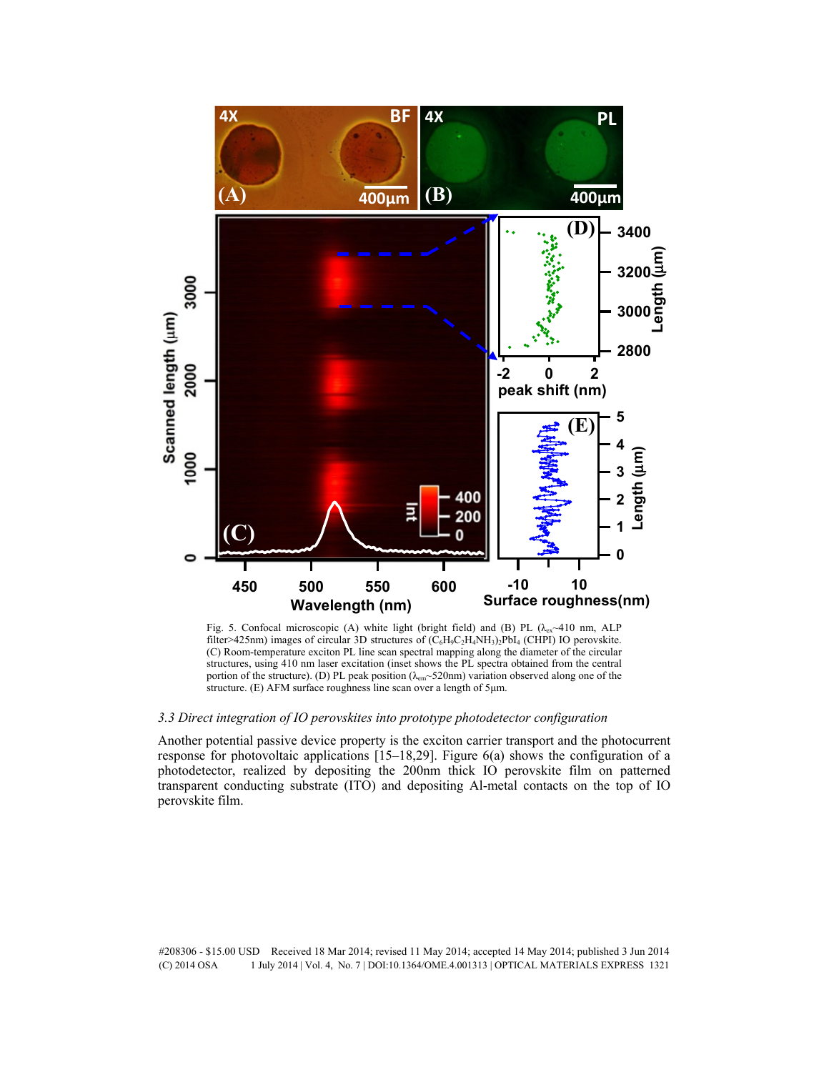

Fig. 5. Confocal microscopic (A) white light (bright field) and (B) PL ( $\lambda_{ex} \sim 410$  nm, ALP filter>425nm) images of circular 3D structures of  $(\overline{C_6H_9C_2H_4NH_3})_2PbI_4$  (CHPI) IO perovskite. (C) Room-temperature exciton PL line scan spectral mapping along the diameter of the circular structures, using 410 nm laser excitation (inset shows the PL spectra obtained from the central portion of the structure). (D) PL peak position (λem~520nm) variation observed along one of the structure. (E) AFM surface roughness line scan over a length of 5μm.

## *3.3 Direct integration of IO perovskites into prototype photodetector configuration*

Another potential passive device property is the exciton carrier transport and the photocurrent response for photovoltaic applications [15–18,29]. Figure 6(a) shows the configuration of a photodetector, realized by depositing the 200nm thick IO perovskite film on patterned transparent conducting substrate (ITO) and depositing Al-metal contacts on the top of IO perovskite film.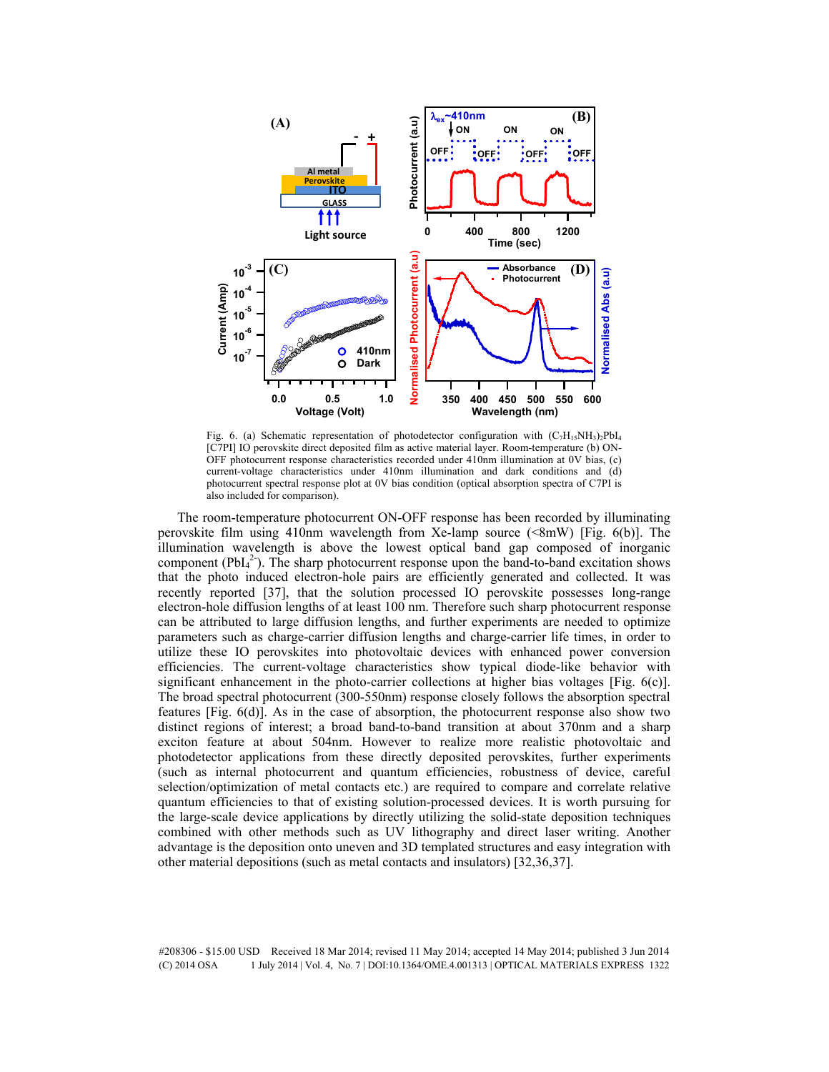

Fig. 6. (a) Schematic representation of photodetector configuration with  $(C_7H_{15}NH_3)_2PbI_4$ [C7PI] IO perovskite direct deposited film as active material layer. Room-temperature (b) ON-OFF photocurrent response characteristics recorded under 410nm illumination at 0V bias, (c) current-voltage characteristics under 410nm illumination and dark conditions and (d) photocurrent spectral response plot at 0V bias condition (optical absorption spectra of C7PI is also included for comparison).

The room-temperature photocurrent ON-OFF response has been recorded by illuminating perovskite film using 410nm wavelength from Xe-lamp source  $(\langle 8mW \rangle)$  [Fig. 6(b)]. The illumination wavelength is above the lowest optical band gap composed of inorganic component  $(PbI<sub>4</sub><sup>2</sup>)$ . The sharp photocurrent response upon the band-to-band excitation shows that the photo induced electron-hole pairs are efficiently generated and collected. It was recently reported [37], that the solution processed IO perovskite possesses long-range electron-hole diffusion lengths of at least 100 nm. Therefore such sharp photocurrent response can be attributed to large diffusion lengths, and further experiments are needed to optimize parameters such as charge-carrier diffusion lengths and charge-carrier life times, in order to utilize these IO perovskites into photovoltaic devices with enhanced power conversion efficiencies. The current-voltage characteristics show typical diode-like behavior with significant enhancement in the photo-carrier collections at higher bias voltages [Fig. 6(c)]. The broad spectral photocurrent (300-550nm) response closely follows the absorption spectral features [Fig. 6(d)]. As in the case of absorption, the photocurrent response also show two distinct regions of interest; a broad band-to-band transition at about 370nm and a sharp exciton feature at about 504nm. However to realize more realistic photovoltaic and photodetector applications from these directly deposited perovskites, further experiments (such as internal photocurrent and quantum efficiencies, robustness of device, careful selection/optimization of metal contacts etc.) are required to compare and correlate relative quantum efficiencies to that of existing solution-processed devices. It is worth pursuing for the large-scale device applications by directly utilizing the solid-state deposition techniques combined with other methods such as UV lithography and direct laser writing. Another advantage is the deposition onto uneven and 3D templated structures and easy integration with other material depositions (such as metal contacts and insulators) [32,36,37].